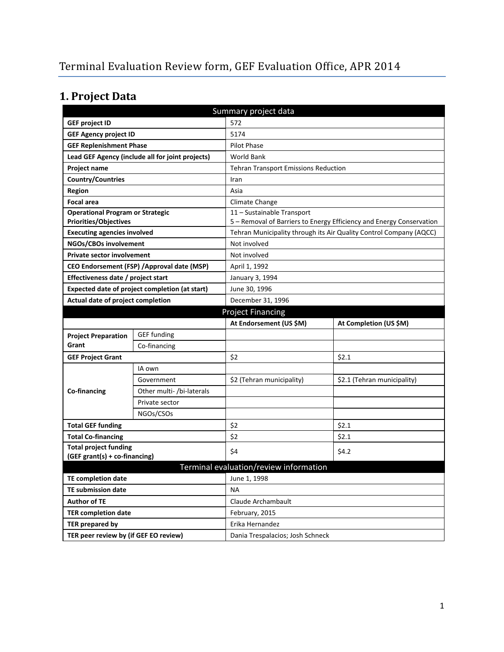# **1. Project Data**

| Summary project data                           |                                                  |                                             |                                                                      |  |  |
|------------------------------------------------|--------------------------------------------------|---------------------------------------------|----------------------------------------------------------------------|--|--|
| <b>GEF project ID</b>                          |                                                  | 572                                         |                                                                      |  |  |
| <b>GEF Agency project ID</b>                   |                                                  | 5174                                        |                                                                      |  |  |
| <b>GEF Replenishment Phase</b>                 |                                                  | <b>Pilot Phase</b>                          |                                                                      |  |  |
|                                                | Lead GEF Agency (include all for joint projects) | <b>World Bank</b>                           |                                                                      |  |  |
| Project name                                   |                                                  | <b>Tehran Transport Emissions Reduction</b> |                                                                      |  |  |
| <b>Country/Countries</b>                       |                                                  | Iran                                        |                                                                      |  |  |
| <b>Region</b>                                  |                                                  | Asia                                        |                                                                      |  |  |
| <b>Focal area</b>                              |                                                  | Climate Change                              |                                                                      |  |  |
| <b>Operational Program or Strategic</b>        |                                                  | 11 - Sustainable Transport                  |                                                                      |  |  |
| <b>Priorities/Objectives</b>                   |                                                  |                                             | 5 - Removal of Barriers to Energy Efficiency and Energy Conservation |  |  |
| <b>Executing agencies involved</b>             |                                                  |                                             | Tehran Municipality through its Air Quality Control Company (AQCC)   |  |  |
| NGOs/CBOs involvement                          |                                                  | Not involved                                |                                                                      |  |  |
| <b>Private sector involvement</b>              |                                                  | Not involved                                |                                                                      |  |  |
|                                                | CEO Endorsement (FSP) / Approval date (MSP)      | April 1, 1992                               |                                                                      |  |  |
| Effectiveness date / project start             |                                                  | January 3, 1994                             |                                                                      |  |  |
| Expected date of project completion (at start) |                                                  | June 30, 1996                               |                                                                      |  |  |
| Actual date of project completion              |                                                  | December 31, 1996                           |                                                                      |  |  |
|                                                |                                                  | <b>Project Financing</b>                    |                                                                      |  |  |
|                                                |                                                  | At Endorsement (US \$M)                     | At Completion (US \$M)                                               |  |  |
| <b>Project Preparation</b>                     | <b>GEF</b> funding                               |                                             |                                                                      |  |  |
| Grant                                          | Co-financing                                     |                                             |                                                                      |  |  |
| <b>GEF Project Grant</b>                       |                                                  | \$2                                         | \$2.1                                                                |  |  |
|                                                | IA own                                           |                                             |                                                                      |  |  |
|                                                | Government                                       | \$2 (Tehran municipality)                   | \$2.1 (Tehran municipality)                                          |  |  |
| Co-financing                                   | Other multi- /bi-laterals                        |                                             |                                                                      |  |  |
|                                                | Private sector                                   |                                             |                                                                      |  |  |
|                                                | NGOs/CSOs                                        |                                             |                                                                      |  |  |
| <b>Total GEF funding</b>                       |                                                  | \$2                                         | \$2.1                                                                |  |  |
| <b>Total Co-financing</b>                      |                                                  | \$2                                         | \$2.1                                                                |  |  |
| <b>Total project funding</b>                   |                                                  | \$4                                         | \$4.2                                                                |  |  |
| (GEF grant(s) + co-financing)                  |                                                  |                                             |                                                                      |  |  |
| Terminal evaluation/review information         |                                                  |                                             |                                                                      |  |  |
| <b>TE completion date</b>                      |                                                  | June 1, 1998                                |                                                                      |  |  |
| <b>TE submission date</b>                      |                                                  | <b>NA</b>                                   |                                                                      |  |  |
| <b>Author of TE</b>                            |                                                  | Claude Archambault                          |                                                                      |  |  |
| <b>TER completion date</b>                     |                                                  | February, 2015                              |                                                                      |  |  |
| TER prepared by                                |                                                  | Erika Hernandez                             |                                                                      |  |  |
| TER peer review by (if GEF EO review)          |                                                  | Dania Trespalacios; Josh Schneck            |                                                                      |  |  |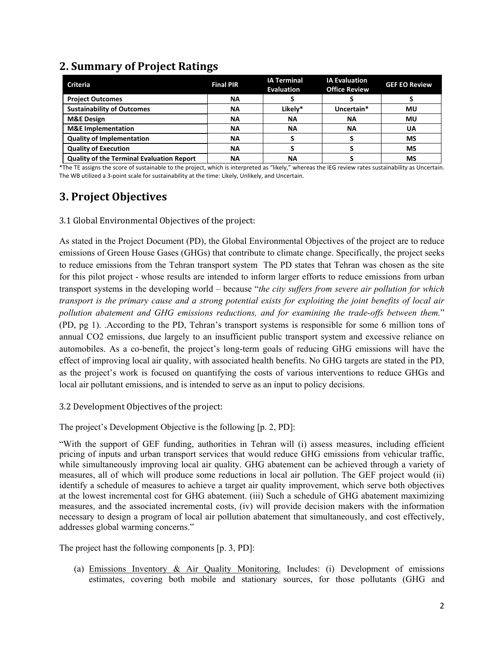## **2. Summary of Project Ratings**

| <b>Criteria</b>                                  | <b>Final PIR</b> | <b>IA Terminal</b><br><b>Evaluation</b> | <b>IA Evaluation</b><br><b>Office Review</b> | <b>GEF EO Review</b> |
|--------------------------------------------------|------------------|-----------------------------------------|----------------------------------------------|----------------------|
| <b>Project Outcomes</b>                          | ΝA               |                                         |                                              |                      |
| <b>Sustainability of Outcomes</b>                | <b>NA</b>        | Likely*                                 | Uncertain*                                   | ΜU                   |
| <b>M&amp;E Design</b>                            | <b>NA</b>        | <b>NA</b>                               | ΝA                                           | MU                   |
| <b>M&amp;E</b> Implementation                    | NA               | <b>NA</b>                               | ΝA                                           | UA                   |
| <b>Quality of Implementation</b>                 | <b>NA</b>        |                                         |                                              | <b>MS</b>            |
| <b>Quality of Execution</b>                      | <b>NA</b>        |                                         |                                              | MS                   |
| <b>Quality of the Terminal Evaluation Report</b> | ΝA               | ΝA                                      |                                              | <b>MS</b>            |

\*The TE assigns the score of sustainable to the project, which is interpreted as "likely," whereas the IEG review rates sustainability as Uncertain. The WB utilized a 3-point scale for sustainability at the time: Likely, Unlikely, and Uncertain.

## **3. Project Objectives**

3.1 Global Environmental Objectives of the project:

As stated in the Project Document (PD), the Global Environmental Objectives of the project are to reduce emissions of Green House Gases (GHGs) that contribute to climate change. Specifically, the project seeks to reduce emissions from the Tehran transport system The PD states that Tehran was chosen as the site for this pilot project - whose results are intended to inform larger efforts to reduce emissions from urban transport systems in the developing world – because "*the city suffers from severe air pollution for which transport is the primary cause and a strong potential exists for exploiting the joint benefits of local air pollution abatement and GHG emissions reductions, and for examining the trade-offs between them.*" (PD, pg 1). .According to the PD, Tehran's transport systems is responsible for some 6 million tons of annual CO2 emissions, due largely to an insufficient public transport system and excessive reliance on automobiles. As a co-benefit, the project's long-term goals of reducing GHG emissions will have the effect of improving local air quality, with associated health benefits. No GHG targets are stated in the PD, as the project's work is focused on quantifying the costs of various interventions to reduce GHGs and local air pollutant emissions, and is intended to serve as an input to policy decisions.

3.2 Development Objectives of the project:

The project's Development Objective is the following [p. 2, PD]:

"With the support of GEF funding, authorities in Tehran will (i) assess measures, including efficient pricing of inputs and urban transport services that would reduce GHG emissions from vehicular traffic, while simultaneously improving local air quality. GHG abatement can be achieved through a variety of measures, all of which will produce some reductions in local air pollution. The GEF project would (ii) identify a schedule of measures to achieve a target air quality improvement, which serve both objectives at the lowest incremental cost for GHG abatement. (iii) Such a schedule of GHG abatement maximizing measures, and the associated incremental costs, (iv) will provide decision makers with the information necessary to design a program of local air pollution abatement that simultaneously, and cost effectively, addresses global warming concerns."

The project hast the following components [p. 3, PD]:

(a) Emissions Inventory & Air Quality Monitoring. Includes: (i) Development of emissions estimates, covering both mobile and stationary sources, for those pollutants (GHG and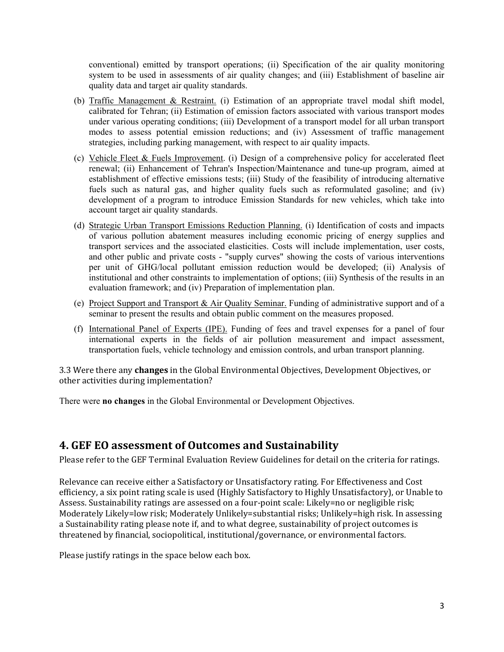conventional) emitted by transport operations; (ii) Specification of the air quality monitoring system to be used in assessments of air quality changes; and (iii) Establishment of baseline air quality data and target air quality standards.

- (b) Traffic Management & Restraint. (i) Estimation of an appropriate travel modal shift model, calibrated for Tehran; (ii) Estimation of emission factors associated with various transport modes under various operating conditions; (iii) Development of a transport model for all urban transport modes to assess potential emission reductions; and (iv) Assessment of traffic management strategies, including parking management, with respect to air quality impacts.
- (c) Vehicle Fleet & Fuels Improvement. (i) Design of a comprehensive policy for accelerated fleet renewal; (ii) Enhancement of Tehran's Inspection/Maintenance and tune-up program, aimed at establishment of effective emissions tests; (iii) Study of the feasibility of introducing alternative fuels such as natural gas, and higher quality fuels such as reformulated gasoline; and (iv) development of a program to introduce Emission Standards for new vehicles, which take into account target air quality standards.
- (d) Strategic Urban Transport Emissions Reduction Planning. (i) Identification of costs and impacts of various pollution abatement measures including economic pricing of energy supplies and transport services and the associated elasticities. Costs will include implementation, user costs, and other public and private costs - "supply curves" showing the costs of various interventions per unit of GHG/local pollutant emission reduction would be developed; (ii) Analysis of institutional and other constraints to implementation of options; (iii) Synthesis of the results in an evaluation framework; and (iv) Preparation of implementation plan.
- (e) Project Support and Transport & Air Quality Seminar. Funding of administrative support and of a seminar to present the results and obtain public comment on the measures proposed.
- (f) International Panel of Experts (IPE). Funding of fees and travel expenses for a panel of four international experts in the fields of air pollution measurement and impact assessment, transportation fuels, vehicle technology and emission controls, and urban transport planning.

3.3 Were there any **changes** in the Global Environmental Objectives, Development Objectives, or other activities during implementation?

There were **no changes** in the Global Environmental or Development Objectives.

#### **4. GEF EO assessment of Outcomes and Sustainability**

Please refer to the GEF Terminal Evaluation Review Guidelines for detail on the criteria for ratings.

Relevance can receive either a Satisfactory or Unsatisfactory rating. For Effectiveness and Cost efficiency, a six point rating scale is used (Highly Satisfactory to Highly Unsatisfactory), or Unable to Assess. Sustainability ratings are assessed on a four-point scale: Likely=no or negligible risk; Moderately Likely=low risk; Moderately Unlikely=substantial risks; Unlikely=high risk. In assessing a Sustainability rating please note if, and to what degree, sustainability of project outcomes is threatened by financial, sociopolitical, institutional/governance, or environmental factors.

Please justify ratings in the space below each box.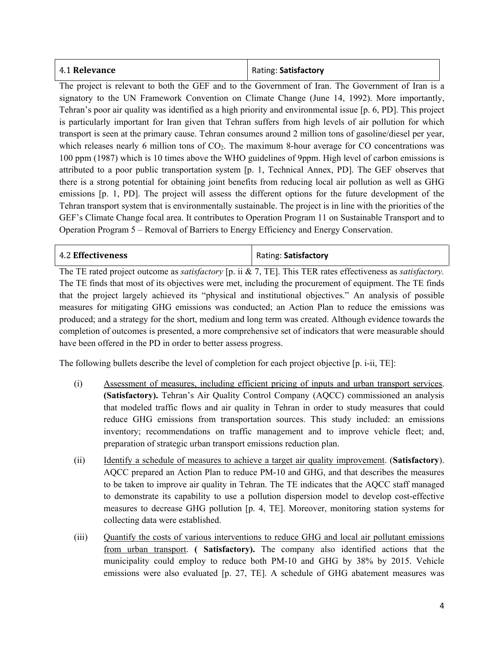| 4.1 Relevance | Rating: Satisfactory |
|---------------|----------------------|
|---------------|----------------------|

The project is relevant to both the GEF and to the Government of Iran. The Government of Iran is a signatory to the UN Framework Convention on Climate Change (June 14, 1992). More importantly, Tehran's poor air quality was identified as a high priority and environmental issue [p. 6, PD]. This project is particularly important for Iran given that Tehran suffers from high levels of air pollution for which transport is seen at the primary cause. Tehran consumes around 2 million tons of gasoline/diesel per year, which releases nearly 6 million tons of  $CO<sub>2</sub>$ . The maximum 8-hour average for CO concentrations was 100 ppm (1987) which is 10 times above the WHO guidelines of 9ppm. High level of carbon emissions is attributed to a poor public transportation system [p. 1, Technical Annex, PD]. The GEF observes that there is a strong potential for obtaining joint benefits from reducing local air pollution as well as GHG emissions [p. 1, PD]. The project will assess the different options for the future development of the Tehran transport system that is environmentally sustainable. The project is in line with the priorities of the GEF's Climate Change focal area. It contributes to Operation Program 11 on Sustainable Transport and to Operation Program 5 – Removal of Barriers to Energy Efficiency and Energy Conservation.

| <b>4.2 Effectiveness</b> | Rating: Satisfactory |     |  |
|--------------------------|----------------------|-----|--|
| $-$<br>____              | ____                 | $-$ |  |

The TE rated project outcome as *satisfactory* [p. ii & 7, TE]. This TER rates effectiveness as *satisfactory.* The TE finds that most of its objectives were met, including the procurement of equipment. The TE finds that the project largely achieved its "physical and institutional objectives." An analysis of possible measures for mitigating GHG emissions was conducted; an Action Plan to reduce the emissions was produced; and a strategy for the short, medium and long term was created. Although evidence towards the completion of outcomes is presented, a more comprehensive set of indicators that were measurable should have been offered in the PD in order to better assess progress.

The following bullets describe the level of completion for each project objective [p. i-ii, TE]:

- (i) Assessment of measures, including efficient pricing of inputs and urban transport services. **(Satisfactory).** Tehran's Air Quality Control Company (AQCC) commissioned an analysis that modeled traffic flows and air quality in Tehran in order to study measures that could reduce GHG emissions from transportation sources. This study included: an emissions inventory; recommendations on traffic management and to improve vehicle fleet; and, preparation of strategic urban transport emissions reduction plan.
- (ii) Identify a schedule of measures to achieve a target air quality improvement. (**Satisfactory**). AQCC prepared an Action Plan to reduce PM-10 and GHG, and that describes the measures to be taken to improve air quality in Tehran. The TE indicates that the AQCC staff managed to demonstrate its capability to use a pollution dispersion model to develop cost-effective measures to decrease GHG pollution [p. 4, TE]. Moreover, monitoring station systems for collecting data were established.
- (iii) Quantify the costs of various interventions to reduce GHG and local air pollutant emissions from urban transport. **( Satisfactory).** The company also identified actions that the municipality could employ to reduce both PM-10 and GHG by 38% by 2015. Vehicle emissions were also evaluated [p. 27, TE]. A schedule of GHG abatement measures was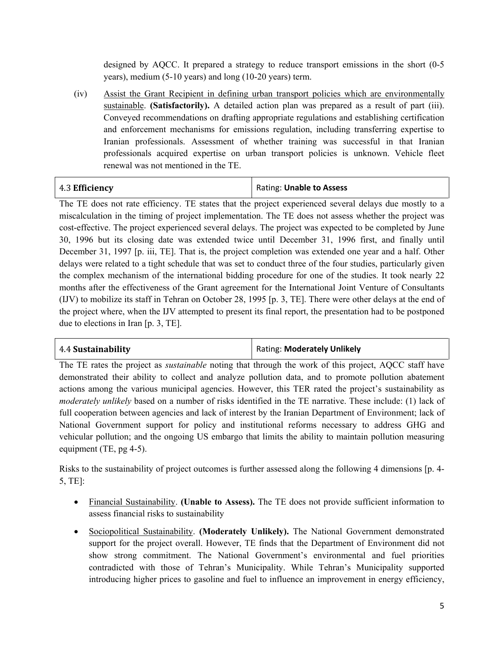designed by AQCC. It prepared a strategy to reduce transport emissions in the short (0-5 years), medium (5-10 years) and long (10-20 years) term.

(iv) Assist the Grant Recipient in defining urban transport policies which are environmentally sustainable. **(Satisfactorily).** A detailed action plan was prepared as a result of part (iii). Conveyed recommendations on drafting appropriate regulations and establishing certification and enforcement mechanisms for emissions regulation, including transferring expertise to Iranian professionals. Assessment of whether training was successful in that Iranian professionals acquired expertise on urban transport policies is unknown. Vehicle fleet renewal was not mentioned in the TE.

| 4.3 Efficiency | Rating: Unable to Assess |
|----------------|--------------------------|
|----------------|--------------------------|

The TE does not rate efficiency. TE states that the project experienced several delays due mostly to a miscalculation in the timing of project implementation. The TE does not assess whether the project was cost-effective. The project experienced several delays. The project was expected to be completed by June 30, 1996 but its closing date was extended twice until December 31, 1996 first, and finally until December 31, 1997 [p. iii, TE]. That is, the project completion was extended one year and a half. Other delays were related to a tight schedule that was set to conduct three of the four studies, particularly given the complex mechanism of the international bidding procedure for one of the studies. It took nearly 22 months after the effectiveness of the Grant agreement for the International Joint Venture of Consultants (IJV) to mobilize its staff in Tehran on October 28, 1995 [p. 3, TE]. There were other delays at the end of the project where, when the IJV attempted to present its final report, the presentation had to be postponed due to elections in Iran [p. 3, TE].

4.4 **Sustainability** Rating: **Moderately Unlikely**

The TE rates the project as *sustainable* noting that through the work of this project, AQCC staff have demonstrated their ability to collect and analyze pollution data, and to promote pollution abatement actions among the various municipal agencies. However, this TER rated the project's sustainability as *moderately unlikely* based on a number of risks identified in the TE narrative. These include: (1) lack of full cooperation between agencies and lack of interest by the Iranian Department of Environment; lack of National Government support for policy and institutional reforms necessary to address GHG and vehicular pollution; and the ongoing US embargo that limits the ability to maintain pollution measuring equipment (TE, pg 4-5).

Risks to the sustainability of project outcomes is further assessed along the following 4 dimensions [p. 4- 5, TE]:

- Financial Sustainability. **(Unable to Assess).** The TE does not provide sufficient information to assess financial risks to sustainability
- Sociopolitical Sustainability. **(Moderately Unlikely).** The National Government demonstrated support for the project overall. However, TE finds that the Department of Environment did not show strong commitment. The National Government's environmental and fuel priorities contradicted with those of Tehran's Municipality. While Tehran's Municipality supported introducing higher prices to gasoline and fuel to influence an improvement in energy efficiency,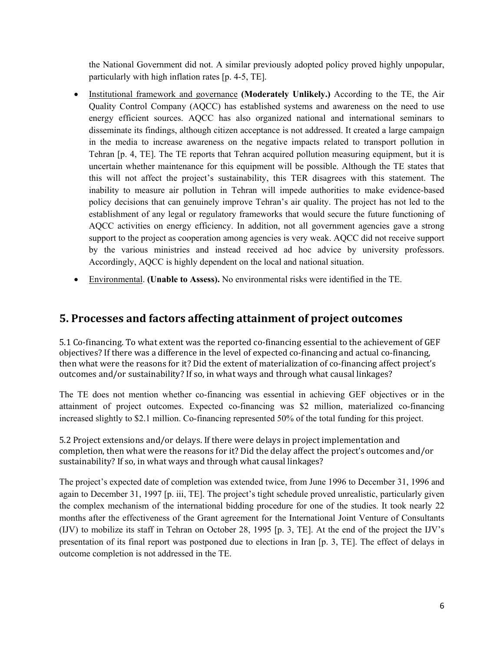the National Government did not. A similar previously adopted policy proved highly unpopular, particularly with high inflation rates [p. 4-5, TE].

- Institutional framework and governance **(Moderately Unlikely.)** According to the TE, the Air Quality Control Company (AQCC) has established systems and awareness on the need to use energy efficient sources. AQCC has also organized national and international seminars to disseminate its findings, although citizen acceptance is not addressed. It created a large campaign in the media to increase awareness on the negative impacts related to transport pollution in Tehran [p. 4, TE]. The TE reports that Tehran acquired pollution measuring equipment, but it is uncertain whether maintenance for this equipment will be possible. Although the TE states that this will not affect the project's sustainability, this TER disagrees with this statement. The inability to measure air pollution in Tehran will impede authorities to make evidence-based policy decisions that can genuinely improve Tehran's air quality. The project has not led to the establishment of any legal or regulatory frameworks that would secure the future functioning of AQCC activities on energy efficiency. In addition, not all government agencies gave a strong support to the project as cooperation among agencies is very weak. AQCC did not receive support by the various ministries and instead received ad hoc advice by university professors. Accordingly, AQCC is highly dependent on the local and national situation.
- Environmental. **(Unable to Assess).** No environmental risks were identified in the TE.

#### **5. Processes and factors affecting attainment of project outcomes**

5.1 Co-financing. To what extent was the reported co-financing essential to the achievement of GEF objectives? If there was a difference in the level of expected co-financing and actual co-financing, then what were the reasons for it? Did the extent of materialization of co-financing affect project's outcomes and/or sustainability? If so, in what ways and through what causal linkages?

The TE does not mention whether co-financing was essential in achieving GEF objectives or in the attainment of project outcomes. Expected co-financing was \$2 million, materialized co-financing increased slightly to \$2.1 million. Co-financing represented 50% of the total funding for this project.

5.2 Project extensions and/or delays. If there were delays in project implementation and completion, then what were the reasons for it? Did the delay affect the project's outcomes and/or sustainability? If so, in what ways and through what causal linkages?

The project's expected date of completion was extended twice, from June 1996 to December 31, 1996 and again to December 31, 1997 [p. iii, TE]. The project's tight schedule proved unrealistic, particularly given the complex mechanism of the international bidding procedure for one of the studies. It took nearly 22 months after the effectiveness of the Grant agreement for the International Joint Venture of Consultants (IJV) to mobilize its staff in Tehran on October 28, 1995 [p. 3, TE]. At the end of the project the IJV's presentation of its final report was postponed due to elections in Iran [p. 3, TE]. The effect of delays in outcome completion is not addressed in the TE.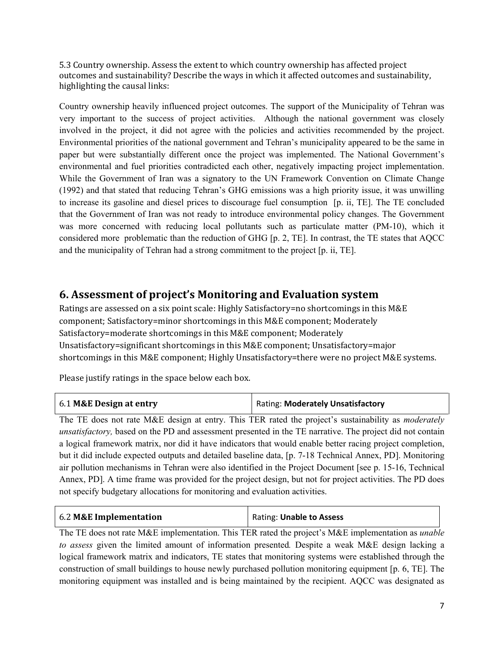5.3 Country ownership. Assess the extent to which country ownership has affected project outcomes and sustainability? Describe the ways in which it affected outcomes and sustainability, highlighting the causal links:

Country ownership heavily influenced project outcomes. The support of the Municipality of Tehran was very important to the success of project activities. Although the national government was closely involved in the project, it did not agree with the policies and activities recommended by the project. Environmental priorities of the national government and Tehran's municipality appeared to be the same in paper but were substantially different once the project was implemented. The National Government's environmental and fuel priorities contradicted each other, negatively impacting project implementation. While the Government of Iran was a signatory to the UN Framework Convention on Climate Change (1992) and that stated that reducing Tehran's GHG emissions was a high priority issue, it was unwilling to increase its gasoline and diesel prices to discourage fuel consumption [p. ii, TE]. The TE concluded that the Government of Iran was not ready to introduce environmental policy changes. The Government was more concerned with reducing local pollutants such as particulate matter (PM-10), which it considered more problematic than the reduction of GHG [p. 2, TE]. In contrast, the TE states that AQCC and the municipality of Tehran had a strong commitment to the project [p. ii, TE].

#### **6. Assessment of project's Monitoring and Evaluation system**

Ratings are assessed on a six point scale: Highly Satisfactory=no shortcomings in this M&E component; Satisfactory=minor shortcomings in this M&E component; Moderately Satisfactory=moderate shortcomings in this M&E component; Moderately Unsatisfactory=significant shortcomings in this M&E component; Unsatisfactory=major shortcomings in this M&E component; Highly Unsatisfactory=there were no project M&E systems.

Please justify ratings in the space below each box.

| 6.1 M&E Design at entry | <b>Rating: Moderately Unsatisfactory</b> |
|-------------------------|------------------------------------------|
|                         |                                          |

The TE does not rate M&E design at entry. This TER rated the project's sustainability as *moderately unsatisfactory,* based on the PD and assessment presented in the TE narrative. The project did not contain a logical framework matrix, nor did it have indicators that would enable better racing project completion, but it did include expected outputs and detailed baseline data, [p. 7-18 Technical Annex, PD]. Monitoring air pollution mechanisms in Tehran were also identified in the Project Document [see p. 15-16, Technical Annex, PD]. A time frame was provided for the project design, but not for project activities. The PD does not specify budgetary allocations for monitoring and evaluation activities.

| 6.2 M&E Implementation | Rating: Unable to Assess |
|------------------------|--------------------------|
|                        |                          |

The TE does not rate M&E implementation. This TER rated the project's M&E implementation as *unable to assess* given the limited amount of information presented*.* Despite a weak M&E design lacking a logical framework matrix and indicators, TE states that monitoring systems were established through the construction of small buildings to house newly purchased pollution monitoring equipment [p. 6, TE]. The monitoring equipment was installed and is being maintained by the recipient. AQCC was designated as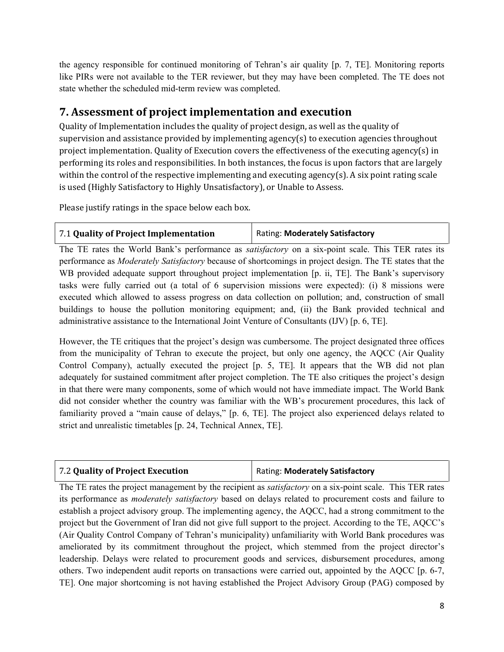the agency responsible for continued monitoring of Tehran's air quality [p. 7, TE]. Monitoring reports like PIRs were not available to the TER reviewer, but they may have been completed. The TE does not state whether the scheduled mid-term review was completed.

## **7. Assessment of project implementation and execution**

Quality of Implementation includes the quality of project design, as well as the quality of supervision and assistance provided by implementing agency(s) to execution agencies throughout project implementation. Quality of Execution covers the effectiveness of the executing agency(s) in performing its roles and responsibilities. In both instances, the focus is upon factors that are largely within the control of the respective implementing and executing agency(s). A six point rating scale is used (Highly Satisfactory to Highly Unsatisfactory), or Unable to Assess.

Please justify ratings in the space below each box.

| 7.1 Quality of Project Implementation | Rating: Moderately Satisfactory |
|---------------------------------------|---------------------------------|
|---------------------------------------|---------------------------------|

The TE rates the World Bank's performance as *satisfactory* on a six-point scale. This TER rates its performance as *Moderately Satisfactory* because of shortcomings in project design. The TE states that the WB provided adequate support throughout project implementation [p. ii, TE]. The Bank's supervisory tasks were fully carried out (a total of 6 supervision missions were expected): (i) 8 missions were executed which allowed to assess progress on data collection on pollution; and, construction of small buildings to house the pollution monitoring equipment; and, (ii) the Bank provided technical and administrative assistance to the International Joint Venture of Consultants (IJV) [p. 6, TE].

However, the TE critiques that the project's design was cumbersome. The project designated three offices from the municipality of Tehran to execute the project, but only one agency, the AQCC (Air Quality Control Company), actually executed the project [p. 5, TE]. It appears that the WB did not plan adequately for sustained commitment after project completion. The TE also critiques the project's design in that there were many components, some of which would not have immediate impact. The World Bank did not consider whether the country was familiar with the WB's procurement procedures, this lack of familiarity proved a "main cause of delays," [p. 6, TE]. The project also experienced delays related to strict and unrealistic timetables [p. 24, Technical Annex, TE].

| 7.2 Quality of Project Execution | Rating: Moderately Satisfactory |
|----------------------------------|---------------------------------|
|----------------------------------|---------------------------------|

The TE rates the project management by the recipient as *satisfactory* on a six-point scale. This TER rates its performance as *moderately satisfactory* based on delays related to procurement costs and failure to establish a project advisory group. The implementing agency, the AQCC, had a strong commitment to the project but the Government of Iran did not give full support to the project. According to the TE, AQCC's (Air Quality Control Company of Tehran's municipality) unfamiliarity with World Bank procedures was ameliorated by its commitment throughout the project, which stemmed from the project director's leadership. Delays were related to procurement goods and services, disbursement procedures, among others. Two independent audit reports on transactions were carried out, appointed by the AQCC [p. 6-7, TE]. One major shortcoming is not having established the Project Advisory Group (PAG) composed by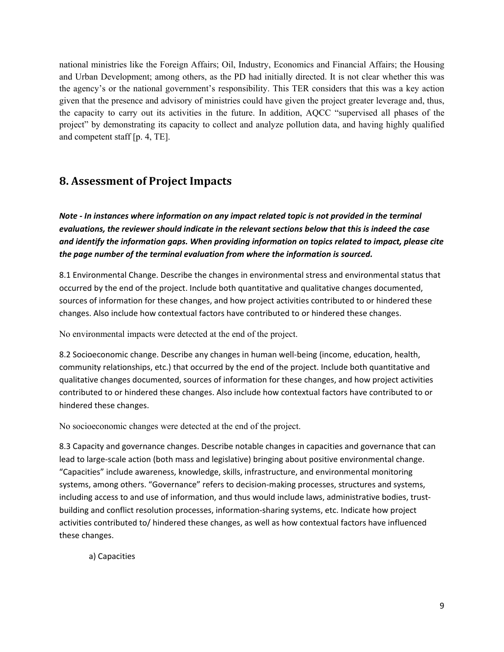national ministries like the Foreign Affairs; Oil, Industry, Economics and Financial Affairs; the Housing and Urban Development; among others, as the PD had initially directed. It is not clear whether this was the agency's or the national government's responsibility. This TER considers that this was a key action given that the presence and advisory of ministries could have given the project greater leverage and, thus, the capacity to carry out its activities in the future. In addition, AQCC "supervised all phases of the project" by demonstrating its capacity to collect and analyze pollution data, and having highly qualified and competent staff [p. 4, TE].

#### **8. Assessment of Project Impacts**

*Note - In instances where information on any impact related topic is not provided in the terminal evaluations, the reviewer should indicate in the relevant sections below that this is indeed the case and identify the information gaps. When providing information on topics related to impact, please cite the page number of the terminal evaluation from where the information is sourced.* 

8.1 Environmental Change. Describe the changes in environmental stress and environmental status that occurred by the end of the project. Include both quantitative and qualitative changes documented, sources of information for these changes, and how project activities contributed to or hindered these changes. Also include how contextual factors have contributed to or hindered these changes.

No environmental impacts were detected at the end of the project.

8.2 Socioeconomic change. Describe any changes in human well-being (income, education, health, community relationships, etc.) that occurred by the end of the project. Include both quantitative and qualitative changes documented, sources of information for these changes, and how project activities contributed to or hindered these changes. Also include how contextual factors have contributed to or hindered these changes.

No socioeconomic changes were detected at the end of the project.

8.3 Capacity and governance changes. Describe notable changes in capacities and governance that can lead to large-scale action (both mass and legislative) bringing about positive environmental change. "Capacities" include awareness, knowledge, skills, infrastructure, and environmental monitoring systems, among others. "Governance" refers to decision-making processes, structures and systems, including access to and use of information, and thus would include laws, administrative bodies, trustbuilding and conflict resolution processes, information-sharing systems, etc. Indicate how project activities contributed to/ hindered these changes, as well as how contextual factors have influenced these changes.

a) Capacities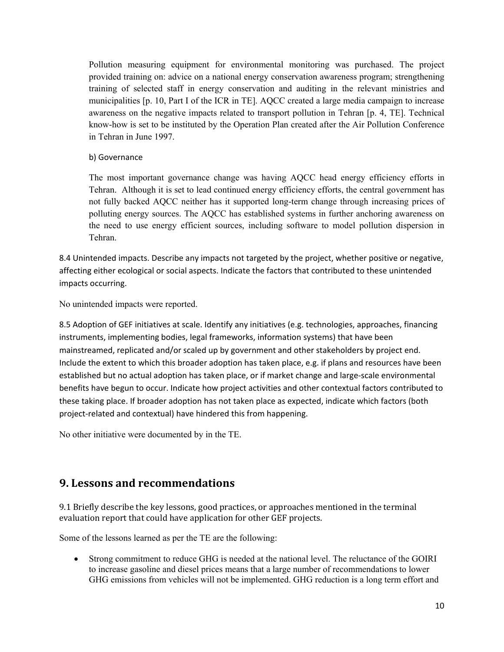Pollution measuring equipment for environmental monitoring was purchased. The project provided training on: advice on a national energy conservation awareness program; strengthening training of selected staff in energy conservation and auditing in the relevant ministries and municipalities [p. 10, Part I of the ICR in TE]. AQCC created a large media campaign to increase awareness on the negative impacts related to transport pollution in Tehran [p. 4, TE]. Technical know-how is set to be instituted by the Operation Plan created after the Air Pollution Conference in Tehran in June 1997.

b) Governance

The most important governance change was having AQCC head energy efficiency efforts in Tehran. Although it is set to lead continued energy efficiency efforts, the central government has not fully backed AQCC neither has it supported long-term change through increasing prices of polluting energy sources. The AQCC has established systems in further anchoring awareness on the need to use energy efficient sources, including software to model pollution dispersion in Tehran.

8.4 Unintended impacts. Describe any impacts not targeted by the project, whether positive or negative, affecting either ecological or social aspects. Indicate the factors that contributed to these unintended impacts occurring.

No unintended impacts were reported.

8.5 Adoption of GEF initiatives at scale. Identify any initiatives (e.g. technologies, approaches, financing instruments, implementing bodies, legal frameworks, information systems) that have been mainstreamed, replicated and/or scaled up by government and other stakeholders by project end. Include the extent to which this broader adoption has taken place, e.g. if plans and resources have been established but no actual adoption has taken place, or if market change and large-scale environmental benefits have begun to occur. Indicate how project activities and other contextual factors contributed to these taking place. If broader adoption has not taken place as expected, indicate which factors (both project-related and contextual) have hindered this from happening.

No other initiative were documented by in the TE.

## **9. Lessons and recommendations**

9.1 Briefly describe the key lessons, good practices, or approaches mentioned in the terminal evaluation report that could have application for other GEF projects.

Some of the lessons learned as per the TE are the following:

• Strong commitment to reduce GHG is needed at the national level. The reluctance of the GOIRI to increase gasoline and diesel prices means that a large number of recommendations to lower GHG emissions from vehicles will not be implemented. GHG reduction is a long term effort and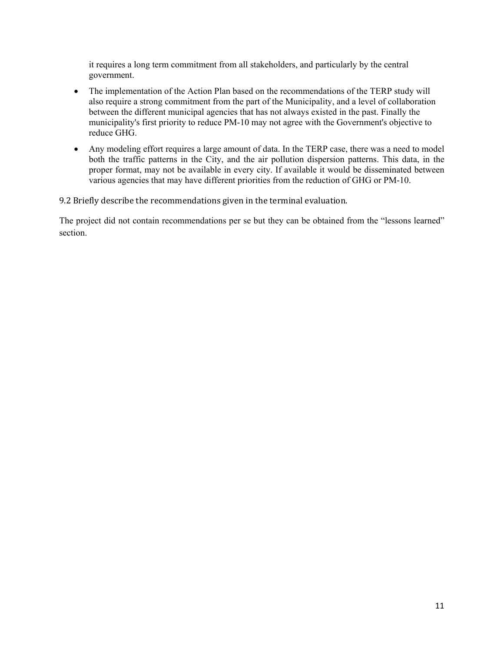it requires a long term commitment from all stakeholders, and particularly by the central government.

- The implementation of the Action Plan based on the recommendations of the TERP study will also require a strong commitment from the part of the Municipality, and a level of collaboration between the different municipal agencies that has not always existed in the past. Finally the municipality's first priority to reduce PM-10 may not agree with the Government's objective to reduce GHG.
- Any modeling effort requires a large amount of data. In the TERP case, there was a need to model both the traffic patterns in the City, and the air pollution dispersion patterns. This data, in the proper format, may not be available in every city. If available it would be disseminated between various agencies that may have different priorities from the reduction of GHG or PM-10.

9.2 Briefly describe the recommendations given in the terminal evaluation.

The project did not contain recommendations per se but they can be obtained from the "lessons learned" section.